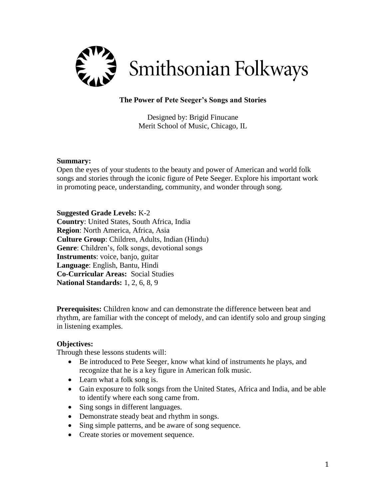

# **The Power of Pete Seeger's Songs and Stories**

Designed by: Brigid Finucane Merit School of Music, Chicago, IL

#### **Summary:**

Open the eyes of your students to the beauty and power of American and world folk songs and stories through the iconic figure of Pete Seeger. Explore his important work in promoting peace, understanding, community, and wonder through song.

**Suggested Grade Levels:** K-2

**Country**: United States, South Africa, India **Region**: North America, Africa, Asia **Culture Group**: Children, Adults, Indian (Hindu) **Genre**: Children's, folk songs, devotional songs **Instruments**: voice, banjo, guitar **Language**: English, Bantu, Hindi **Co-Curricular Areas:** Social Studies **National Standards:** 1, 2, 6, 8, 9

**Prerequisites:** Children know and can demonstrate the difference between beat and rhythm, are familiar with the concept of melody, and can identify solo and group singing in listening examples.

# **Objectives:**

Through these lessons students will:

- Be introduced to Pete Seeger, know what kind of instruments he plays, and recognize that he is a key figure in American folk music.
- Learn what a folk song is.
- Gain exposure to folk songs from the United States, Africa and India, and be able to identify where each song came from.
- Sing songs in different languages.
- Demonstrate steady beat and rhythm in songs.
- Sing simple patterns, and be aware of song sequence.
- Create stories or movement sequence.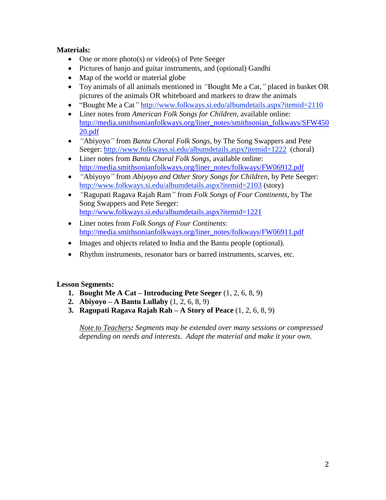# **Materials:**

- One or more photo $(s)$  or video $(s)$  of Pete Seeger
- Pictures of banjo and guitar instruments, and (optional) Gandhi
- Map of the world or material globe
- Toy animals of all animals mentioned in *"*Bought Me a Cat,*"* placed in basket OR pictures of the animals OR whiteboard and markers to draw the animals
- "Bought Me a Cat*"* <http://www.folkways.si.edu/albumdetails.aspx?itemid=2110>
- Liner notes from *American Folk Songs for Children*, available online: [http://media.smithsonianfolkways.org/liner\\_notes/smithsonian\\_folkways/SFW450](http://media.smithsonianfolkways.org/liner_notes/smithsonian_folkways/SFW45020.pdf) [20.pdf](http://media.smithsonianfolkways.org/liner_notes/smithsonian_folkways/SFW45020.pdf)
- *"*Abiyoyo*"* from *Bantu Choral Folk Songs*, by The Song Swappers and Pete Seeger: <http://www.folkways.si.edu/albumdetails.aspx?itemid=1222>(choral)
- Liner notes from *Bantu Choral Folk Songs*, available online: [http://media.smithsonianfolkways.org/liner\\_notes/folkways/FW06912.pdf](http://media.smithsonianfolkways.org/liner_notes/folkways/FW06912.pdf)
- *"*Abiyoyo*"* from *Abiyoyo and Other Story Songs for Children*, by Pete Seeger: <http://www.folkways.si.edu/albumdetails.aspx?itemid=2103> (story)
- *"*Ragupati Ragava Rajah Ram*"* from *Folk Songs of Four Continents*, by The Song Swappers and Pete Seeger: <http://www.folkways.si.edu/albumdetails.aspx?itemid=1221>
- Liner notes from *Folk Songs of Four Continents*: [http://media.smithsonianfolkways.org/liner\\_notes/folkways/FW06911.pdf](http://media.smithsonianfolkways.org/liner_notes/folkways/FW06911.pdf)
- Images and objects related to India and the Bantu people (optional).
- Rhythm instruments, resonator bars or barred instruments, scarves, etc.

# **Lesson Segments:**

- **1. Bought Me A Cat – Introducing Pete Seeger** (1, 2, 6, 8, 9)
- **2. Abiyoyo – A Bantu Lullaby** (1, 2, 6, 8, 9)
- **3. Ragupati Ragava Rajah Rah – A Story of Peace** (1, 2, 6, 8, 9)

*Note to Teachers: Segments may be extended over many sessions or compressed depending on needs and interests. Adapt the material and make it your own.*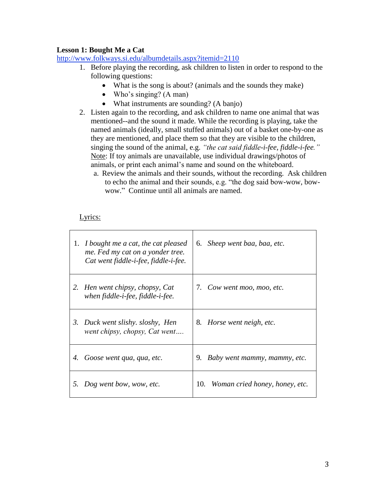### **Lesson 1: Bought Me a Cat**

<http://www.folkways.si.edu/albumdetails.aspx?itemid=2110>

- 1. Before playing the recording, ask children to listen in order to respond to the following questions:
	- What is the song is about? (animals and the sounds they make)
	- Who's singing?  $(A \text{ man})$
	- What instruments are sounding? (A banjo)
- 2. Listen again to the recording, and ask children to name one animal that was mentioned--and the sound it made. While the recording is playing, take the named animals (ideally, small stuffed animals) out of a basket one-by-one as they are mentioned, and place them so that they are visible to the children, singing the sound of the animal, e.g. *"the cat said fiddle-i-fee, fiddle-i-fee."* Note: If toy animals are unavailable, use individual drawings/photos of animals, or print each animal's name and sound on the whiteboard.
	- a. Review the animals and their sounds, without the recording. Ask children to echo the animal and their sounds, e.g. "the dog said bow-wow, bowwow." Continue until all animals are named.

# Lyrics:

|    | 1. <i>I bought me a cat, the cat pleased</i><br>me. Fed my cat on a yonder tree.<br>Cat went fiddle-i-fee, fiddle-i-fee. | Sheep went baa, baa, etc.<br>6.       |
|----|--------------------------------------------------------------------------------------------------------------------------|---------------------------------------|
| 2. | Hen went chipsy, chopsy, Cat<br>when fiddle-i-fee, fiddle-i-fee.                                                         | 7. Cow went moo, moo, etc.            |
|    | 3. Duck went slishy. sloshy, Hen<br>went chipsy, chopsy, Cat went                                                        | 8.<br>Horse went neigh, etc.          |
| 4. | Goose went qua, qua, etc.                                                                                                | 9.<br>Baby went mammy, mammy, etc.    |
| 5. | Dog went bow, wow, etc.                                                                                                  | 10.<br>Woman cried honey, honey, etc. |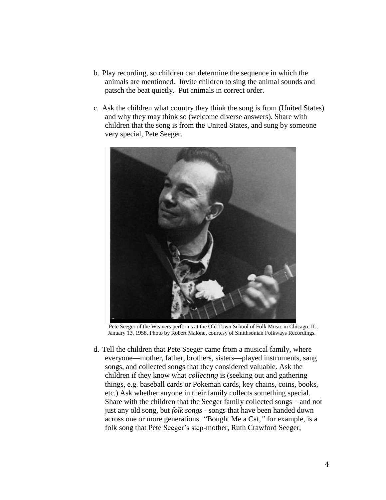- b. Play recording, so children can determine the sequence in which the animals are mentioned. Invite children to sing the animal sounds and patsch the beat quietly. Put animals in correct order.
- c. Ask the children what country they think the song is from (United States) and why they may think so (welcome diverse answers). Share with children that the song is from the United States, and sung by someone very special, Pete Seeger.



Pete Seeger of the Weavers performs at the Old Town School of Folk Music in Chicago, IL, January 13, 1958. Photo by Robert Malone, courtesy of Smithsonian Folkways Recordings.

d. Tell the children that Pete Seeger came from a musical family, where everyone—mother, father, brothers, sisters—played instruments, sang songs, and collected songs that they considered valuable. Ask the children if they know what *collecting* is (seeking out and gathering things, e.g. baseball cards or Pokeman cards, key chains, coins, books, etc.) Ask whether anyone in their family collects something special. Share with the children that the Seeger family collected songs – and not just any old song, but *folk songs* - songs that have been handed down across one or more generations. *"*Bought Me a Cat,*"* for example, is a folk song that Pete Seeger's step-mother, Ruth Crawford Seeger,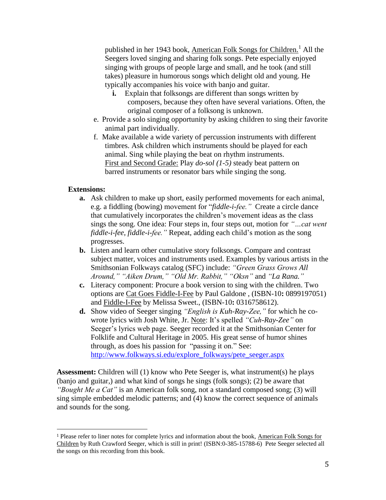published in her 1943 book, American Folk Songs for Children.<sup>1</sup> All the Seegers loved singing and sharing folk songs. Pete especially enjoyed singing with groups of people large and small, and he took (and still takes) pleasure in humorous songs which delight old and young. He typically accompanies his voice with banjo and guitar.

- **i.** Explain that folksongs are different than songs written by composers, because they often have several variations. Often, the original composer of a folksong is unknown.
- e. Provide a solo singing opportunity by asking children to sing their favorite animal part individually.
- f. Make available a wide variety of percussion instruments with different timbres. Ask children which instruments should be played for each animal. Sing while playing the beat on rhythm instruments. First and Second Grade: Play *do-sol (1-5)* steady beat pattern on barred instruments or resonator bars while singing the song.

### **Extensions:**

 $\overline{a}$ 

- **a.** Ask children to make up short, easily performed movements for each animal, e.g. a fiddling (bowing) movement for "*fiddle-i-fee."* Create a circle dance that cumulatively incorporates the children's movement ideas as the class sings the song. One idea: Four steps in, four steps out, motion for *"…cat went fiddle-i-fee, fiddle-i-fee."* Repeat, adding each child's motion as the song progresses.
- **b.** Listen and learn other cumulative story folksongs. Compare and contrast subject matter, voices and instruments used. Examples by various artists in the Smithsonian Folkways catalog (SFC) include: *"Green Grass Grows All Around," "Aiken Drum," "Old Mr. Rabbit," "Oksn"* and *"La Rana."*
- **c.** Literacy component: Procure a book version to sing with the children. Two options are [Cat Goes Fiddle-I-Fee](http://www.amazon.com/Cat-Goes-Fiddle-I-Fee-Paul-Galdone/dp/0899197051/ref=sr_1_1?s=books&ie=UTF8&qid=1340865514&sr=1-1&keywords=Cat+went+fiddle+i+fee) by Paul Galdone , (ISBN-10**:** 0899197051) and [Fiddle-I-Fee](http://www.amazon.com/Fiddle-I-Fee-Melissa-Sweet/dp/0316758612/ref=sr_1_2?s=books&ie=UTF8&qid=1340865514&sr=1-2&keywords=Cat+went+fiddle+i+fee) by [Melissa Sweet.](http://www.amazon.com/Melissa-Sweet/e/B001IQUKRS/ref=sr_ntt_srch_lnk_2?qid=1340865514&sr=1-2), (ISBN-10**:** 0316758612).
- **d.** Show video of Seeger singing *"English is Kuh-Ray-Zee,"* for which he cowrote lyrics with Josh White, Jr. Note: It's spelled *"Cuh-Ray-Zee"* on Seeger's lyrics web page. Seeger recorded it at the Smithsonian Center for Folklife and Cultural Heritage in 2005. His great sense of humor shines through, as does his passion for "passing it on." See: [http://www.folkways.si.edu/explore\\_folkways/pete\\_seeger.aspx](http://www.folkways.si.edu/explore_folkways/pete_seeger.aspx)

**Assessment:** Children will (1) know who Pete Seeger is, what instrument(s) he plays (banjo and guitar,) and what kind of songs he sings (folk songs); (2) be aware that *"Bought Me a Cat"* is an American folk song, not a standard composed song; (3) will sing simple embedded melodic patterns; and (4) know the correct sequence of animals and sounds for the song.

<sup>1</sup> Please refer to liner notes for complete lyrics and information about the book, American Folk Songs for Children by Ruth Crawford Seeger, which is still in print! (ISBN:0-385-15788-6) Pete Seeger selected all the songs on this recording from this book.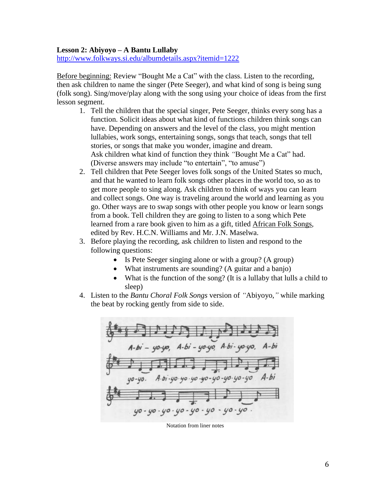#### **Lesson 2: Abiyoyo – A Bantu Lullaby**

<http://www.folkways.si.edu/albumdetails.aspx?itemid=1222>

Before beginning: Review "Bought Me a Cat" with the class. Listen to the recording, then ask children to name the singer (Pete Seeger), and what kind of song is being sung (folk song). Sing/move/play along with the song using your choice of ideas from the first lesson segment.

- 1. Tell the children that the special singer, Pete Seeger, thinks every song has a function. Solicit ideas about what kind of functions children think songs can have. Depending on answers and the level of the class, you might mention lullabies, work songs, entertaining songs, songs that teach, songs that tell stories, or songs that make you wonder, imagine and dream. Ask children what kind of function they think *"*Bought Me a Cat" had. (Diverse answers may include "to entertain", "to amuse")
- 2. Tell children that Pete Seeger loves folk songs of the United States so much, and that he wanted to learn folk songs other places in the world too, so as to get more people to sing along. Ask children to think of ways you can learn and collect songs. One way is traveling around the world and learning as you go. Other ways are to swap songs with other people you know or learn songs from a book. Tell children they are going to listen to a song which Pete learned from a rare book given to him as a gift, titled African Folk Songs*,* edited by Rev. H.C.N. Williams and Mr. J.N. Maselwa.
- 3. Before playing the recording, ask children to listen and respond to the following questions:
	- Is Pete Seeger singing alone or with a group? (A group)
	- What instruments are sounding? (A guitar and a banjo)
	- What is the function of the song? (It is a lullaby that lulls a child to sleep)
- 4. Listen to the *Bantu Choral Folk Songs* version of *"*Abiyoyo,*"* while marking the beat by rocking gently from side to side.



Notation from liner notes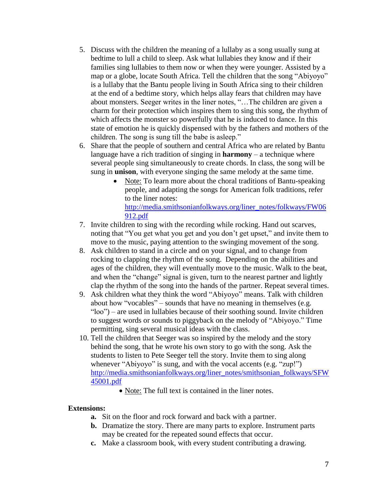- 5. Discuss with the children the meaning of a lullaby as a song usually sung at bedtime to lull a child to sleep. Ask what lullabies they know and if their families sing lullabies to them now or when they were younger. Assisted by a map or a globe, locate South Africa. Tell the children that the song "Abiyoyo" is a lullaby that the Bantu people living in South Africa sing to their children at the end of a bedtime story, which helps allay fears that children may have about monsters. Seeger writes in the liner notes, "…The children are given a charm for their protection which inspires them to sing this song, the rhythm of which affects the monster so powerfully that he is induced to dance. In this state of emotion he is quickly dispensed with by the fathers and mothers of the children. The song is sung till the babe is asleep."
- 6. Share that the people of southern and central Africa who are related by Bantu language have a rich tradition of singing in **harmony** – a technique where several people sing simultaneously to create chords. In class, the song will be sung in **unison**, with everyone singing the same melody at the same time.
	- Note: To learn more about the choral traditions of Bantu-speaking people, and adapting the songs for American folk traditions, refer to the liner notes: [http://media.smithsonianfolkways.org/liner\\_notes/folkways/FW06](http://media.smithsonianfolkways.org/liner_notes/folkways/FW06912.pdf) [912.pdf](http://media.smithsonianfolkways.org/liner_notes/folkways/FW06912.pdf)
- 7. Invite children to sing with the recording while rocking. Hand out scarves, noting that "You get what you get and you don't get upset," and invite them to move to the music, paying attention to the swinging movement of the song.
- 8. Ask children to stand in a circle and on your signal, and to change from rocking to clapping the rhythm of the song. Depending on the abilities and ages of the children, they will eventually move to the music. Walk to the beat, and when the "change" signal is given, turn to the nearest partner and lightly clap the rhythm of the song into the hands of the partner. Repeat several times.
- 9. Ask children what they think the word "Abiyoyo" means. Talk with children about how "vocables" – sounds that have no meaning in themselves (e.g. "loo") – are used in lullabies because of their soothing sound. Invite children to suggest words or sounds to piggyback on the melody of "Abiyoyo." Time permitting, sing several musical ideas with the class.
- 10. Tell the children that Seeger was so inspired by the melody and the story behind the song, that he wrote his own story to go with the song. Ask the students to listen to Pete Seeger tell the story. Invite them to sing along whenever "Abiyoyo" is sung, and with the vocal accents (e.g. "zup!") [http://media.smithsonianfolkways.org/liner\\_notes/smithsonian\\_folkways/SFW](http://media.smithsonianfolkways.org/liner_notes/smithsonian_folkways/SFW45001.pdf) [45001.pdf](http://media.smithsonianfolkways.org/liner_notes/smithsonian_folkways/SFW45001.pdf)
	- Note: The full text is contained in the liner notes.

#### **Extensions:**

- **a.** Sit on the floor and rock forward and back with a partner.
- **b.** Dramatize the story. There are many parts to explore. Instrument parts may be created for the repeated sound effects that occur.
- **c.** Make a classroom book, with every student contributing a drawing.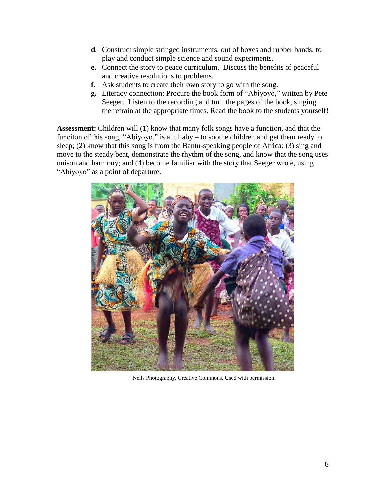- **d.** Construct simple stringed instruments, out of boxes and rubber bands, to play and conduct simple science and sound experiments.
- **e.** Connect the story to peace curriculum. Discuss the benefits of peaceful and creative resolutions to problems.
- **f.** Ask students to create their own story to go with the song.
- **g.** Literacy connection: Procure the book form of "Abiyoyo," written by Pete Seeger. Listen to the recording and turn the pages of the book, singing the refrain at the appropriate times. Read the book to the students yourself!

**Assessment:** Children will (1) know that many folk songs have a function, and that the funciton of this song, "Abiyoyo," is a lullaby – to soothe children and get them ready to sleep; (2) know that this song is from the Bantu-speaking people of Africa; (3) sing and move to the steady beat, demonstrate the rhythm of the song, and know that the song uses unison and harmony; and (4) become familiar with the story that Seeger wrote, using "Abiyoyo" as a point of departure.



Neils Photography, Creative Commons. Used with permission.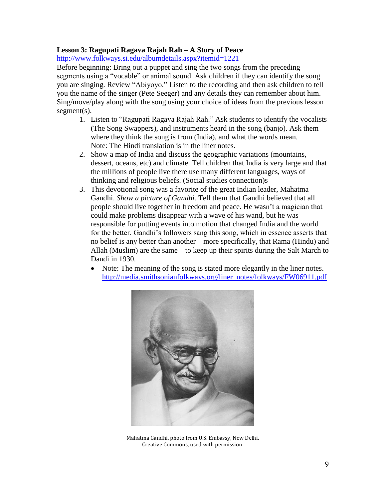# **Lesson 3: Ragupati Ragava Rajah Rah – A Story of Peace**

<http://www.folkways.si.edu/albumdetails.aspx?itemid=1221>

Before beginning: Bring out a puppet and sing the two songs from the preceding segments using a "vocable" or animal sound. Ask children if they can identify the song you are singing. Review "Abiyoyo." Listen to the recording and then ask children to tell you the name of the singer (Pete Seeger) and any details they can remember about him. Sing/move/play along with the song using your choice of ideas from the previous lesson segment(s).

- 1. Listen to "Ragupati Ragava Rajah Rah." Ask students to identify the vocalists (The Song Swappers), and instruments heard in the song (banjo). Ask them where they think the song is from (India), and what the words mean. Note: The Hindi translation is in the liner notes.
- 2. Show a map of India and discuss the geographic variations (mountains, dessert, oceans, etc) and climate. Tell children that India is very large and that the millions of people live there use many different languages, ways of thinking and religious beliefs. (Social studies connection)s
- 3. This devotional song was a favorite of the great Indian leader, Mahatma Gandhi. *Show a picture of Gandhi.* Tell them that Gandhi believed that all people should live together in freedom and peace. He wasn't a magician that could make problems disappear with a wave of his wand, but he was responsible for putting events into motion that changed India and the world for the better. Gandhi's followers sang this song, which in essence asserts that no belief is any better than another – more specifically, that Rama (Hindu) and Allah (Muslim) are the same – to keep up their spirits during the Salt March to Dandi in 1930.
	- Note: The meaning of the song is stated more elegantly in the liner notes. [http://media.smithsonianfolkways.org/liner\\_notes/folkways/FW06911.pdf](http://media.smithsonianfolkways.org/liner_notes/folkways/FW06911.pdf)



Mahatma Gandhi, photo from U.S. Embassy, New Delhi. Creative Commons, used with permission.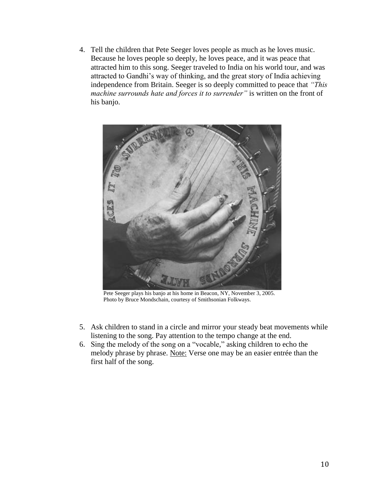4. Tell the children that Pete Seeger loves people as much as he loves music. Because he loves people so deeply, he loves peace, and it was peace that attracted him to this song. Seeger traveled to India on his world tour, and was attracted to Gandhi's way of thinking, and the great story of India achieving independence from Britain. Seeger is so deeply committed to peace that *"This machine surrounds hate and forces it to surrender"* is written on the front of his banjo.



Pete Seeger plays his banjo at his home in Beacon, NY, November 3, 2005. Photo by Bruce Mondschain, courtesy of Smithsonian Folkways.

- 5. Ask children to stand in a circle and mirror your steady beat movements while listening to the song. Pay attention to the tempo change at the end.
- 6. Sing the melody of the song on a "vocable," asking children to echo the melody phrase by phrase. Note: Verse one may be an easier entrée than the first half of the song.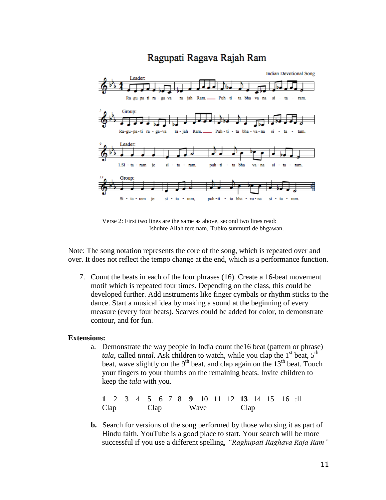# Ragupati Ragava Rajah Ram



Verse 2: First two lines are the same as above, second two lines read: Ishuhre Allah tere nam, Tubko sunmutti de bhgawan.

Note: The song notation represents the core of the song, which is repeated over and over. It does not reflect the tempo change at the end, which is a performance function.

7. Count the beats in each of the four phrases (16). Create a 16-beat movement motif which is repeated four times. Depending on the class, this could be developed further. Add instruments like finger cymbals or rhythm sticks to the dance. Start a musical idea by making a sound at the beginning of every measure (every four beats). Scarves could be added for color, to demonstrate contour, and for fun.

#### **Extensions:**

a. Demonstrate the way people in India count the16 beat (pattern or phrase) *tala*, called *tintal*. Ask children to watch, while you clap the  $1<sup>st</sup>$  beat,  $5<sup>th</sup>$ beat, wave slightly on the  $9<sup>th</sup>$  beat, and clap again on the  $13<sup>th</sup>$  beat. Touch your fingers to your thumbs on the remaining beats. Invite children to keep the *tala* with you.

**1** 2 3 4 **5** 6 7 8 **9** 10 11 12 **13** 14 15 16 :ll Clap Clap Wave Clap

 **b.** Search for versions of the song performed by those who sing it as part of Hindu faith. YouTube is a good place to start. Your search will be more successful if you use a different spelling, *"Raghupati Raghava Raja Ram"*